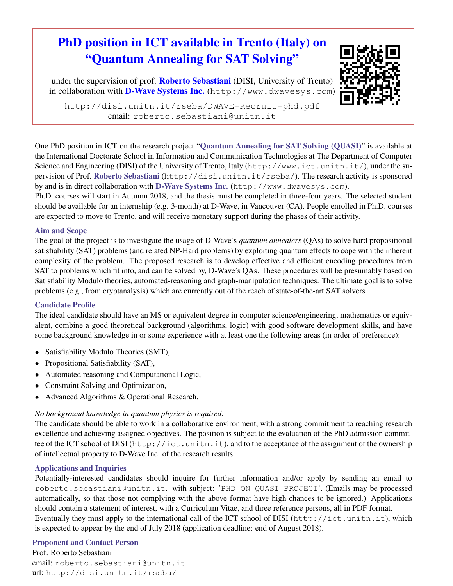# PhD position in ICT available in Trento (Italy) on "Quantum Annealing for SAT Solving"

under the supervision of prof. Roberto Sebastiani (DISI, University of Trento) in collaboration with D-Wave Systems Inc. (http://www.dwavesys.com)



http://disi.unitn.it/rseba/DWAVE-Recruit-phd.pdf email: roberto.sebastiani@unitn.it

One PhD position in ICT on the research project "Quantum Annealing for SAT Solving (QUASI)" is available at the International Doctorate School in Information and Communication Technologies at The Department of Computer Science and Engineering (DISI) of the University of Trento, Italy (http://www.ict.unitn.it/), under the supervision of Prof. Roberto Sebastiani (http://disi.unitn.it/rseba/). The research activity is sponsored by and is in direct collaboration with D-Wave Systems Inc. (http://www.dwavesys.com).

Ph.D. courses will start in Autumn 2018, and the thesis must be completed in three-four years. The selected student should be available for an internship (e.g. 3-month) at D-Wave, in Vancouver (CA). People enrolled in Ph.D. courses are expected to move to Trento, and will receive monetary support during the phases of their activity.

### Aim and Scope

The goal of the project is to investigate the usage of D-Wave's *quantum annealers* (QAs) to solve hard propositional satisfiability (SAT) problems (and related NP-Hard problems) by exploiting quantum effects to cope with the inherent complexity of the problem. The proposed research is to develop effective and efficient encoding procedures from SAT to problems which fit into, and can be solved by, D-Wave's QAs. These procedures will be presumably based on Satisfiability Modulo theories, automated-reasoning and graph-manipulation techniques. The ultimate goal is to solve problems (e.g., from cryptanalysis) which are currently out of the reach of state-of-the-art SAT solvers.

## Candidate Profile

The ideal candidate should have an MS or equivalent degree in computer science/engineering, mathematics or equivalent, combine a good theoretical background (algorithms, logic) with good software development skills, and have some background knowledge in or some experience with at least one the following areas (in order of preference):

- Satisfiability Modulo Theories (SMT),
- Propositional Satisfiability (SAT),
- Automated reasoning and Computational Logic,
- Constraint Solving and Optimization,
- Advanced Algorithms & Operational Research.

#### *No background knowledge in quantum physics is required.*

The candidate should be able to work in a collaborative environment, with a strong commitment to reaching research excellence and achieving assigned objectives. The position is subject to the evaluation of the PhD admission committee of the ICT school of DISI (http://ict.unitn.it), and to the acceptance of the assignment of the ownership of intellectual property to D-Wave Inc. of the research results.

#### Applications and Inquiries

Potentially-interested candidates should inquire for further information and/or apply by sending an email to roberto.sebastiani@unitn.it. with subject: 'PHD ON QUASI PROJECT'. (Emails may be processed automatically, so that those not complying with the above format have high chances to be ignored.) Applications should contain a statement of interest, with a Curriculum Vitae, and three reference persons, all in PDF format. Eventually they must apply to the international call of the ICT school of DISI (http://ict.unitn.it), which is expected to appear by the end of July 2018 (application deadline: end of August 2018).

#### Proponent and Contact Person

Prof. Roberto Sebastiani email: roberto.sebastiani@unitn.it url: http://disi.unitn.it/rseba/